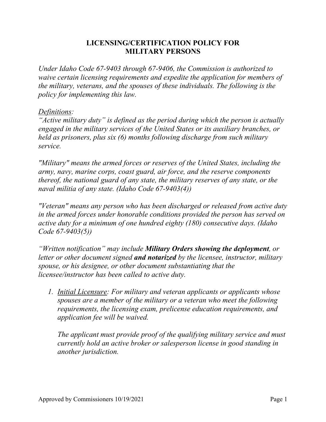## **LICENSING/CERTIFICATION POLICY FOR MILITARY PERSONS**

*Under Idaho Code 67-9403 through 67-9406, the Commission is authorized to waive certain licensing requirements and expedite the application for members of the military, veterans, and the spouses of these individuals. The following is the policy for implementing this law.*

## *Definitions:*

*"Active military duty" is defined as the period during which the person is actually engaged in the military services of the United States or its auxiliary branches, or held as prisoners, plus six (6) months following discharge from such military service.*

*"Military" means the armed forces or reserves of the United States, including the army, navy, marine corps, coast guard, air force, and the reserve components thereof, the national guard of any state, the military reserves of any state, or the naval militia of any state. (Idaho Code 67-9403(4))*

*"Veteran" means any person who has been discharged or released from active duty in the armed forces under honorable conditions provided the person has served on active duty for a minimum of one hundred eighty (180) consecutive days. (Idaho Code 67-9403(5))*

*"Written notification" may include Military Orders showing the deployment, or letter or other document signed and notarized by the licensee, instructor, military spouse, or his designee, or other document substantiating that the licensee/instructor has been called to active duty.*

*1. Initial Licensure: For military and veteran applicants or applicants whose spouses are a member of the military or a veteran who meet the following requirements, the licensing exam, prelicense education requirements, and application fee will be waived.*

*The applicant must provide proof of the qualifying military service and must currently hold an active broker or salesperson license in good standing in another jurisdiction.*